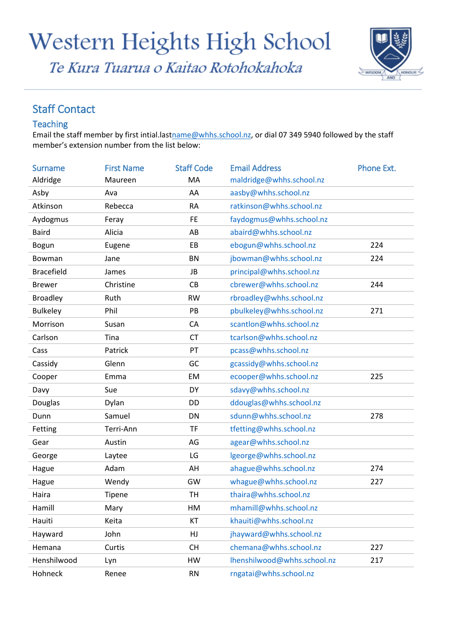# Western Heights High School

Te Kura Tuarua o Kaitao Rotohokahoka



### Staff Contact

#### Teaching

Email the staff member by first intial.las[tname@whhs.school.nz,](mailto:name@whhs.school.nz) or dial 07 349 5940 followed by the staff member's extension number from the list below:

| <b>Surname</b>    | <b>First Name</b> | <b>Staff Code</b> | <b>Email Address</b>        | Phone Ext. |
|-------------------|-------------------|-------------------|-----------------------------|------------|
| Aldridge          | Maureen           | MA                | maldridge@whhs.school.nz    |            |
| Asby              | Ava               | AA                | aasby@whhs.school.nz        |            |
| Atkinson          | Rebecca           | <b>RA</b>         | ratkinson@whhs.school.nz    |            |
| Aydogmus          | Feray             | <b>FE</b>         | faydogmus@whhs.school.nz    |            |
| <b>Baird</b>      | Alicia            | AB                | abaird@whhs.school.nz       |            |
| <b>Bogun</b>      | Eugene            | EB                | ebogun@whhs.school.nz       | 224        |
| Bowman            | Jane              | <b>BN</b>         | jbowman@whhs.school.nz      | 224        |
| <b>Bracefield</b> | James             | JB                | principal@whhs.school.nz    |            |
| <b>Brewer</b>     | Christine         | CB                | cbrewer@whhs.school.nz      | 244        |
| <b>Broadley</b>   | Ruth              | <b>RW</b>         | rbroadley@whhs.school.nz    |            |
| <b>Bulkeley</b>   | Phil              | PB                | pbulkeley@whhs.school.nz    | 271        |
| Morrison          | Susan             | CA                | scantlon@whhs.school.nz     |            |
| Carlson           | Tina              | <b>CT</b>         | tcarlson@whhs.school.nz     |            |
| Cass              | Patrick           | PT                | pcass@whhs.school.nz        |            |
| Cassidy           | Glenn             | GC                | gcassidy@whhs.school.nz     |            |
| Cooper            | Emma              | EM                | ecooper@whhs.school.nz      | 225        |
| Davy              | Sue               | DY                | sdavy@whhs.school.nz        |            |
| Douglas           | Dylan             | DD                | ddouglas@whhs.school.nz     |            |
| Dunn              | Samuel            | DN                | sdunn@whhs.school.nz        | 278        |
| Fetting           | Terri-Ann         | <b>TF</b>         | tfetting@whhs.school.nz     |            |
| Gear              | Austin            | AG                | agear@whhs.school.nz        |            |
| George            | Laytee            | LG                | lgeorge@whhs.school.nz      |            |
| Hague             | Adam              | AH                | ahague@whhs.school.nz       | 274        |
| Hague             | Wendy             | GW                | whague@whhs.school.nz       | 227        |
| Haira             | Tipene            | <b>TH</b>         | thaira@whhs.school.nz       |            |
| Hamill            | Mary              | HM                | mhamill@whhs.school.nz      |            |
| Hauiti            | Keita             | KT                | khauiti@whhs.school.nz      |            |
| Hayward           | John              | HJ                | jhayward@whhs.school.nz     |            |
| Hemana            | Curtis            | <b>CH</b>         | chemana@whhs.school.nz      | 227        |
| Henshilwood       | Lyn               | HW                | lhenshilwood@whhs.school.nz | 217        |
| Hohneck           | Renee             | <b>RN</b>         | rngatai@whhs.school.nz      |            |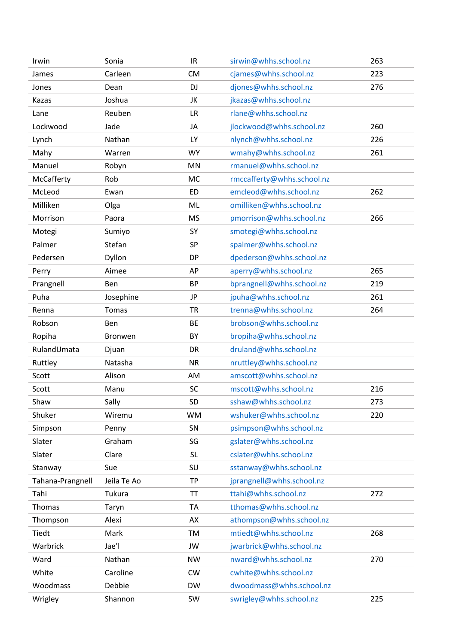| Irwin            | Sonia        | IR        | sirwin@whhs.school.nz      | 263 |
|------------------|--------------|-----------|----------------------------|-----|
| James            | Carleen      | <b>CM</b> | cjames@whhs.school.nz      | 223 |
| Jones            | Dean         | <b>DJ</b> | djones@whhs.school.nz      | 276 |
| Kazas            | Joshua       | JK        | jkazas@whhs.school.nz      |     |
| Lane             | Reuben       | <b>LR</b> | rlane@whhs.school.nz       |     |
| Lockwood         | Jade         | JA        | jlockwood@whhs.school.nz   | 260 |
| Lynch            | Nathan       | LY        | nlynch@whhs.school.nz      | 226 |
| Mahy             | Warren       | <b>WY</b> | wmahy@whhs.school.nz       | 261 |
| Manuel           | Robyn        | MN        | rmanuel@whhs.school.nz     |     |
| McCafferty       | Rob          | <b>MC</b> | rmccafferty@whhs.school.nz |     |
| McLeod           | Ewan         | <b>ED</b> | emcleod@whhs.school.nz     | 262 |
| Milliken         | Olga         | ML        | omilliken@whhs.school.nz   |     |
| Morrison         | Paora        | <b>MS</b> | pmorrison@whhs.school.nz   | 266 |
| Motegi           | Sumiyo       | SY        | smotegi@whhs.school.nz     |     |
| Palmer           | Stefan       | <b>SP</b> | spalmer@whhs.school.nz     |     |
| Pedersen         | Dyllon       | <b>DP</b> | dpederson@whhs.school.nz   |     |
| Perry            | Aimee        | AP        | aperry@whhs.school.nz      | 265 |
| Prangnell        | Ben          | <b>BP</b> | bprangnell@whhs.school.nz  | 219 |
| Puha             | Josephine    | JP        | jpuha@whhs.school.nz       | 261 |
| Renna            | <b>Tomas</b> | <b>TR</b> | trenna@whhs.school.nz      | 264 |
| Robson           | Ben          | BE        | brobson@whhs.school.nz     |     |
| Ropiha           | Bronwen      | BY        | bropiha@whhs.school.nz     |     |
| RulandUmata      | Djuan        | DR        | druland@whhs.school.nz     |     |
| Ruttley          | Natasha      | <b>NR</b> | nruttley@whhs.school.nz    |     |
| Scott            | Alison       | AM        | amscott@whhs.school.nz     |     |
| Scott            | Manu         | <b>SC</b> | mscott@whhs.school.nz      | 216 |
| Shaw             | Sally        | <b>SD</b> | sshaw@whhs.school.nz       | 273 |
| Shuker           | Wiremu       | <b>WM</b> | wshuker@whhs.school.nz     | 220 |
| Simpson          | Penny        | SN        | psimpson@whhs.school.nz    |     |
| Slater           | Graham       | SG        | gslater@whhs.school.nz     |     |
| Slater           | Clare        | <b>SL</b> | cslater@whhs.school.nz     |     |
| Stanway          | Sue          | SU        | sstanway@whhs.school.nz    |     |
| Tahana-Prangnell | Jeila Te Ao  | <b>TP</b> | jprangnell@whhs.school.nz  |     |
| Tahi             | Tukura       | TT        | ttahi@whhs.school.nz       | 272 |
| Thomas           | Taryn        | <b>TA</b> | tthomas@whhs.school.nz     |     |
| Thompson         | Alexi        | AX        | athompson@whhs.school.nz   |     |
| Tiedt            | Mark         | TM        | mtiedt@whhs.school.nz      | 268 |
| Warbrick         | Jae'l        | JW        | jwarbrick@whhs.school.nz   |     |
| Ward             | Nathan       | <b>NW</b> | nward@whhs.school.nz       | 270 |
| White            | Caroline     | CW        | cwhite@whhs.school.nz      |     |
| Woodmass         | Debbie       | <b>DW</b> | dwoodmass@whhs.school.nz   |     |
| Wrigley          | Shannon      | SW        | swrigley@whhs.school.nz    | 225 |